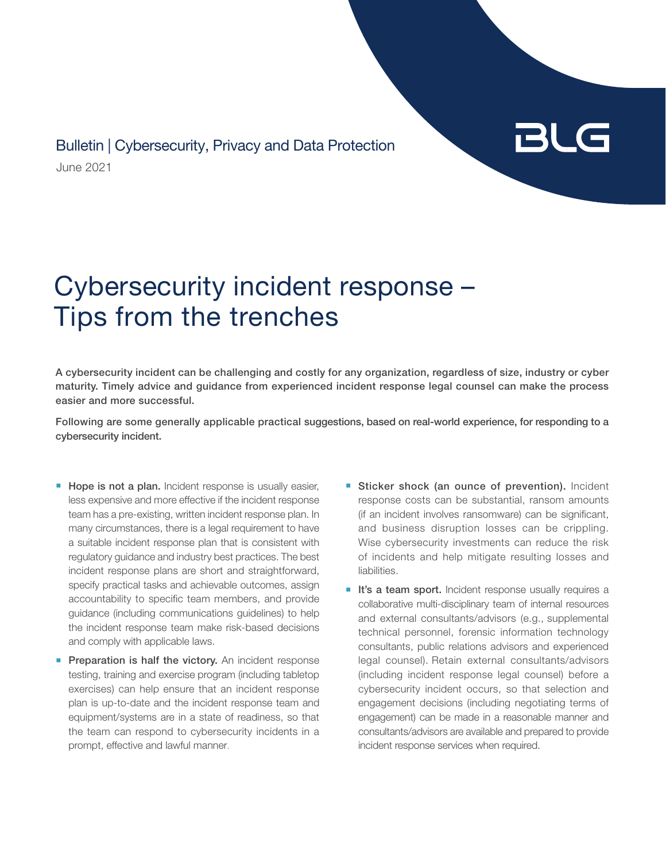June 2021 Bulletin | Cybersecurity, Privacy and Data Protection

## BLG

## Cybersecurity incident response – Tips from the trenches

A cybersecurity incident can be challenging and costly for any organization, regardless of size, industry or cyber maturity. Timely advice and guidance from experienced incident response legal counsel can make the process easier and more successful.

Following are some generally applicable practical suggestions, based on real-world experience, for responding to a cybersecurity incident.

- **Hope is not a plan.** Incident response is usually easier, less expensive and more effective if the incident response team has a pre-existing, written incident response plan. In many circumstances, there is a legal requirement to have a suitable incident response plan that is consistent with regulatory guidance and industry best practices. The best incident response plans are short and straightforward, specify practical tasks and achievable outcomes, assign accountability to specific team members, and provide guidance (including communications guidelines) to help the incident response team make risk-based decisions and comply with applicable laws.
- **Preparation is half the victory.** An incident response testing, training and exercise program (including tabletop exercises) can help ensure that an incident response plan is up-to-date and the incident response team and equipment/systems are in a state of readiness, so that the team can respond to cybersecurity incidents in a prompt, effective and lawful manner.
- **E** Sticker shock (an ounce of prevention). Incident response costs can be substantial, ransom amounts (if an incident involves ransomware) can be significant, and business disruption losses can be crippling. Wise cybersecurity investments can reduce the risk of incidents and help mitigate resulting losses and liabilities.
- **It's a team sport.** Incident response usually requires a collaborative multi-disciplinary team of internal resources and external consultants/advisors (e.g., supplemental technical personnel, forensic information technology consultants, public relations advisors and experienced legal counsel). Retain external consultants/advisors (including incident response legal counsel) before a cybersecurity incident occurs, so that selection and engagement decisions (including negotiating terms of engagement) can be made in a reasonable manner and consultants/advisors are available and prepared to provide incident response services when required.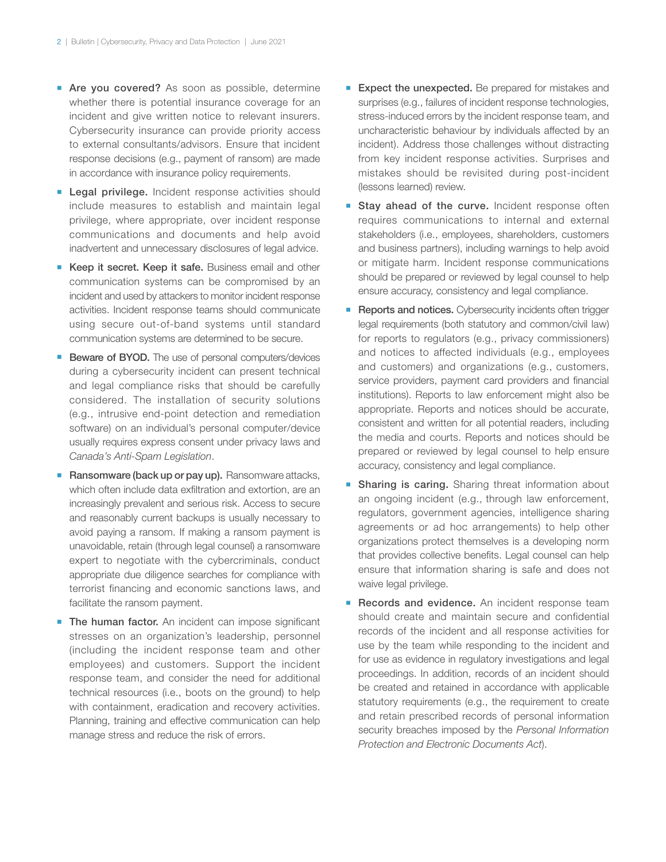- **Are you covered?** As soon as possible, determine whether there is potential insurance coverage for an incident and give written notice to relevant insurers. Cybersecurity insurance can provide priority access to external consultants/advisors. Ensure that incident response decisions (e.g., payment of ransom) are made in accordance with insurance policy requirements.
- **Legal privilege.** Incident response activities should include measures to establish and maintain legal privilege, where appropriate, over incident response communications and documents and help avoid inadvertent and unnecessary disclosures of legal advice.
- **EXEEP it secret. Keep it safe.** Business email and other communication systems can be compromised by an incident and used by attackers to monitor incident response activities. Incident response teams should communicate using secure out-of-band systems until standard communication systems are determined to be secure.
- **Beware of BYOD.** The use of personal computers/devices during a cybersecurity incident can present technical and legal compliance risks that should be carefully considered. The installation of security solutions (e.g., intrusive end-point detection and remediation software) on an individual's personal computer/device usually requires express consent under privacy laws and *Canada's Anti-Spam Legislation*.
- **E** Ransomware (back up or pay up). Ransomware attacks, which often include data exfiltration and extortion, are an increasingly prevalent and serious risk. Access to secure and reasonably current backups is usually necessary to avoid paying a ransom. If making a ransom payment is unavoidable, retain (through legal counsel) a ransomware expert to negotiate with the cybercriminals, conduct appropriate due diligence searches for compliance with terrorist financing and economic sanctions laws, and facilitate the ransom payment.
- **The human factor.** An incident can impose significant stresses on an organization's leadership, personnel (including the incident response team and other employees) and customers. Support the incident response team, and consider the need for additional technical resources (i.e., boots on the ground) to help with containment, eradication and recovery activities. Planning, training and effective communication can help manage stress and reduce the risk of errors.
- **Expect the unexpected.** Be prepared for mistakes and surprises (e.g., failures of incident response technologies, stress-induced errors by the incident response team, and uncharacteristic behaviour by individuals affected by an incident). Address those challenges without distracting from key incident response activities. Surprises and mistakes should be revisited during post-incident (lessons learned) review.
- **Example 3 Stay ahead of the curve.** Incident response often requires communications to internal and external stakeholders (i.e., employees, shareholders, customers and business partners), including warnings to help avoid or mitigate harm. Incident response communications should be prepared or reviewed by legal counsel to help ensure accuracy, consistency and legal compliance.
- **Reports and notices.** Cybersecurity incidents often trigger legal requirements (both statutory and common/civil law) for reports to regulators (e.g., privacy commissioners) and notices to affected individuals (e.g., employees and customers) and organizations (e.g., customers, service providers, payment card providers and financial institutions). Reports to law enforcement might also be appropriate. Reports and notices should be accurate, consistent and written for all potential readers, including the media and courts. Reports and notices should be prepared or reviewed by legal counsel to help ensure accuracy, consistency and legal compliance.
- **Bharing is caring.** Sharing threat information about an ongoing incident (e.g., through law enforcement, regulators, government agencies, intelligence sharing agreements or ad hoc arrangements) to help other organizations protect themselves is a developing norm that provides collective benefits. Legal counsel can help ensure that information sharing is safe and does not waive legal privilege.
- **Records and evidence.** An incident response team should create and maintain secure and confidential records of the incident and all response activities for use by the team while responding to the incident and for use as evidence in regulatory investigations and legal proceedings. In addition, records of an incident should be created and retained in accordance with applicable statutory requirements (e.g., the requirement to create and retain prescribed records of personal information security breaches imposed by the *Personal Information Protection and Electronic Documents Act*).